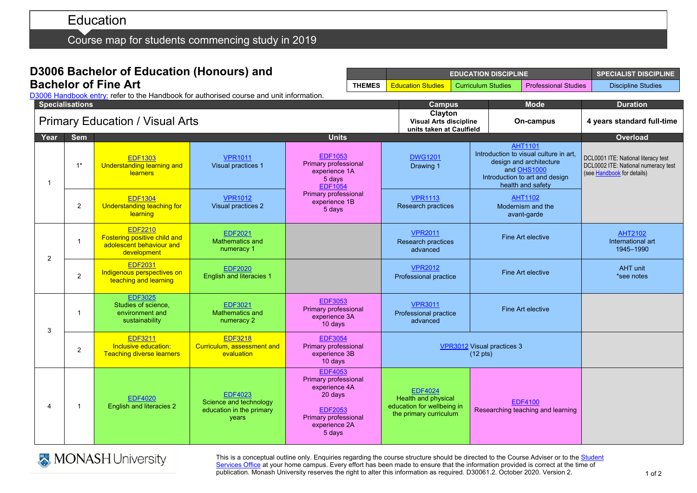# Education

Course map for students commencing study in 2019

## **D3006 Bachelor of Education (Honours) and Bachelor of Fine Art**

|              |                                        | <b>Specialisations</b> |                                                                                                  | D3006 Handbook entry: refer to the Handbook for authorised course and unit information. |                                                                                                                                                | <b>Campus</b><br>Clayton                                                                      | <b>Mode</b>                                                                                                                                               | <b>Duration</b>                                                                                          |
|--------------|----------------------------------------|------------------------|--------------------------------------------------------------------------------------------------|-----------------------------------------------------------------------------------------|------------------------------------------------------------------------------------------------------------------------------------------------|-----------------------------------------------------------------------------------------------|-----------------------------------------------------------------------------------------------------------------------------------------------------------|----------------------------------------------------------------------------------------------------------|
|              | <b>Primary Education / Visual Arts</b> |                        |                                                                                                  |                                                                                         |                                                                                                                                                | <b>Visual Arts discipline</b><br>units taken at Caulfield                                     | On-campus                                                                                                                                                 | 4 years standard full-time                                                                               |
|              | Year                                   | <b>Sem</b>             | <b>Units</b>                                                                                     |                                                                                         |                                                                                                                                                |                                                                                               |                                                                                                                                                           |                                                                                                          |
| $\mathbf{1}$ |                                        | $1^*$                  | <b>EDF1303</b><br><b>Understanding learning and</b><br><b>learners</b>                           | <b>VPR1011</b><br>Visual practices 1                                                    | <b>EDF1053</b><br>Primary professional<br>experience 1A<br>5 days<br><b>EDF1054</b><br>Primary professional<br>experience 1B<br>5 days         | <b>DWG1201</b><br>Drawing 1                                                                   | <b>AHT1101</b><br>Introduction to visual culture in art,<br>design and architecture<br>and OHS1000<br>Introduction to art and design<br>health and safety | DCL0001 ITE: National literacy test<br>DCL0002 ITE: National numeracy test<br>(see Handbook for details) |
|              |                                        | $\overline{2}$         | <b>EDF1304</b><br>Understanding teaching for<br>learning                                         | <b>VPR1012</b><br>Visual practices 2                                                    |                                                                                                                                                | <b>VPR1113</b><br>Research practices                                                          | <b>AHT1102</b><br>Modernism and the<br>avant-garde                                                                                                        |                                                                                                          |
|              | 2                                      | $\mathbf{1}$           | <b>EDF2210</b><br><b>Fostering positive child and</b><br>adolescent behaviour and<br>development | <b>EDF2021</b><br><b>Mathematics and</b><br>numeracy 1                                  |                                                                                                                                                | <b>VPR2011</b><br>Research practices<br>advanced                                              | Fine Art elective                                                                                                                                         | <b>AHT2102</b><br>International art<br>1945-1990                                                         |
|              |                                        | $\overline{2}$         | <b>EDF2031</b><br>Indigenous perspectives on<br>teaching and learning                            | <b>EDF2020</b><br><b>English and literacies 1</b>                                       |                                                                                                                                                | <b>VPR2012</b><br>Professional practice                                                       | Fine Art elective                                                                                                                                         | AHT unit<br>*see notes                                                                                   |
|              | 3                                      | $\mathbf{1}$           | <b>EDF3025</b><br>Studies of science,<br>environment and<br>sustainability                       | <b>EDF3021</b><br>Mathematics and<br>numeracy 2                                         | <b>EDF3053</b><br>Primary professional<br>experience 3A<br>10 days                                                                             | <b>VPR3011</b><br>Professional practice<br>advanced                                           | Fine Art elective                                                                                                                                         |                                                                                                          |
|              |                                        | $\overline{2}$         | <b>EDF3211</b><br>Inclusive education:<br><b>Teaching diverse learners</b>                       | <b>EDF3218</b><br>Curriculum, assessment and<br>evaluation                              | <b>EDF3054</b><br>Primary professional<br>experience 3B<br>10 days                                                                             | VPR3012 Visual practices 3<br>$(12 \text{ pts})$                                              |                                                                                                                                                           |                                                                                                          |
|              | $\overline{\mathbf{4}}$                | $\mathbf{1}$           | <b>EDF4020</b><br><b>English and literacies 2</b>                                                | <b>EDF4023</b><br>Science and technology<br>education in the primary<br>years           | <b>EDF4053</b><br><b>Primary professional</b><br>experience 4A<br>20 days<br><b>EDF2053</b><br>Primary professional<br>experience 2A<br>5 days | <b>EDF4024</b><br>Health and physical<br>education for wellbeing in<br>the primary curriculum | <b>EDF4100</b><br>Researching teaching and learning                                                                                                       |                                                                                                          |



This is a conceptual outline only. Enquiries regarding the course structure should be directed to the Course Adviser or to the Student [Services Office](https://www.monash.edu/education/current-students/contact) at your home campus. Every effort has been made to ensure that the information provided is correct at the time of publication. Monash University reserves the right to alter this information as required. D30061.2. October 2020. Version 2.

**EDUCATION DISCIPLINE SPECIALIST DISCIPLINE**

**THEMES** Education Studies Curriculum Studies Professional Studies Discipline Studies